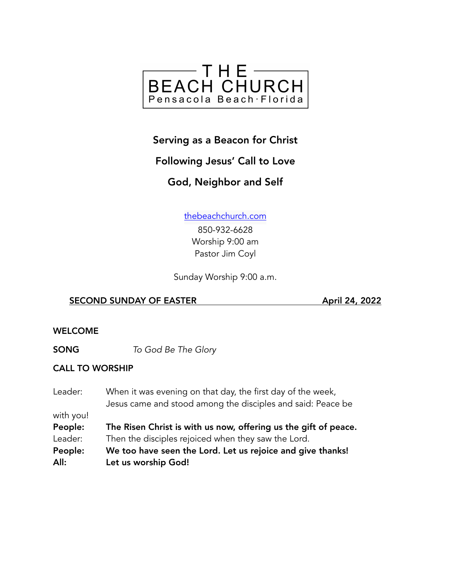

# Serving as a Beacon for Christ

# Following Jesus' Call to Love

# God, Neighbor and Self

# [thebeachchurch.com](http://thebeachchurch.com)

850-932-6628 Worship 9:00 am Pastor Jim Coyl

Sunday Worship 9:00 a.m.

## SECOND SUNDAY OF EASTER April 24, 2022

#### WELCOME

SONG *To God Be The Glory*

## CALL TO WORSHIP

| All:      | Let us worship God!                                             |
|-----------|-----------------------------------------------------------------|
| People:   | We too have seen the Lord. Let us rejoice and give thanks!      |
| Leader:   | Then the disciples rejoiced when they saw the Lord.             |
| People:   | The Risen Christ is with us now, offering us the gift of peace. |
| with you! |                                                                 |
|           | Jesus came and stood among the disciples and said: Peace be     |
| Leader:   | When it was evening on that day, the first day of the week,     |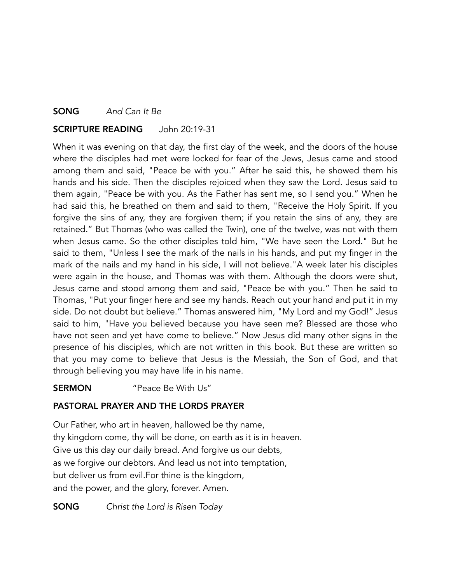## SONG *And Can It Be*

#### SCRIPTURE READING John 20:19-31

When it was evening on that day, the first day of the week, and the doors of the house where the disciples had met were locked for fear of the Jews, Jesus came and stood among them and said, "Peace be with you." After he said this, he showed them his hands and his side. Then the disciples rejoiced when they saw the Lord. Jesus said to them again, "Peace be with you. As the Father has sent me, so I send you." When he had said this, he breathed on them and said to them, "Receive the Holy Spirit. If you forgive the sins of any, they are forgiven them; if you retain the sins of any, they are retained." But Thomas (who was called the Twin), one of the twelve, was not with them when Jesus came. So the other disciples told him, "We have seen the Lord." But he said to them, "Unless I see the mark of the nails in his hands, and put my finger in the mark of the nails and my hand in his side, I will not believe."A week later his disciples were again in the house, and Thomas was with them. Although the doors were shut, Jesus came and stood among them and said, "Peace be with you." Then he said to Thomas, "Put your finger here and see my hands. Reach out your hand and put it in my side. Do not doubt but believe." Thomas answered him, "My Lord and my God!" Jesus said to him, "Have you believed because you have seen me? Blessed are those who have not seen and yet have come to believe." Now Jesus did many other signs in the presence of his disciples, which are not written in this book. But these are written so that you may come to believe that Jesus is the Messiah, the Son of God, and that through believing you may have life in his name.

SERMON "Peace Be With Us"

#### PASTORAL PRAYER AND THE LORDS PRAYER

Our Father, who art in heaven, hallowed be thy name, thy kingdom come, thy will be done, on earth as it is in heaven. Give us this day our daily bread. And forgive us our debts, as we forgive our debtors. And lead us not into temptation, but deliver us from evil.For thine is the kingdom, and the power, and the glory, forever. Amen.

SONG *Christ the Lord is Risen Today*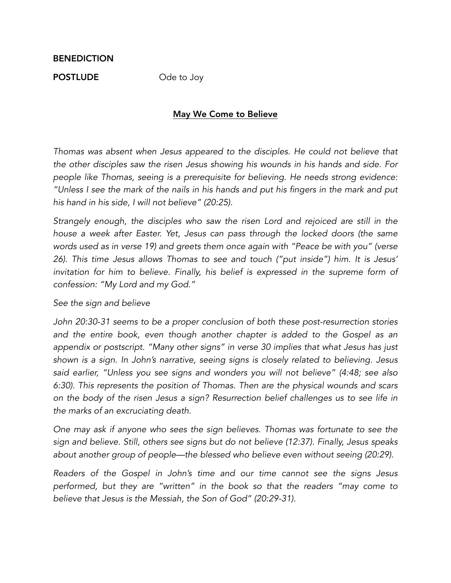**BENEDICTION** 

**POSTLUDE** Ode to Joy

#### May We Come to Believe

*Thomas was absent when Jesus appeared to the disciples. He could not believe that the other disciples saw the risen Jesus showing his wounds in his hands and side. For people like Thomas, seeing is a prerequisite for believing. He needs strong evidence: "Unless I see the mark of the nails in his hands and put his fingers in the mark and put his hand in his side, I will not believe" (20:25).*

*Strangely enough, the disciples who saw the risen Lord and rejoiced are still in the house a week after Easter. Yet, Jesus can pass through the locked doors (the same words used as in verse 19) and greets them once again with "Peace be with you" (verse 26). This time Jesus allows Thomas to see and touch ("put inside") him. It is Jesus'*  invitation for him to believe. Finally, his belief is expressed in the supreme form of *confession: "My Lord and my God."* 

#### *See the sign and believe*

*John 20:30-31 seems to be a proper conclusion of both these post-resurrection stories*  and the entire book, even though another chapter is added to the Gospel as an *appendix or postscript. "Many other signs" in verse 30 implies that what Jesus has just shown is a sign. In John's narrative, seeing signs is closely related to believing. Jesus said earlier, "Unless you see signs and wonders you will not believe" (4:48; see also 6:30). This represents the position of Thomas. Then are the physical wounds and scars on the body of the risen Jesus a sign? Resurrection belief challenges us to see life in the marks of an excruciating death.*

*One may ask if anyone who sees the sign believes. Thomas was fortunate to see the sign and believe. Still, others see signs but do not believe (12:37). Finally, Jesus speaks about another group of people—the blessed who believe even without seeing (20:29).*

*Readers of the Gospel in John's time and our time cannot see the signs Jesus performed, but they are "written" in the book so that the readers "may come to believe that Jesus is the Messiah, the Son of God" (20:29-31).*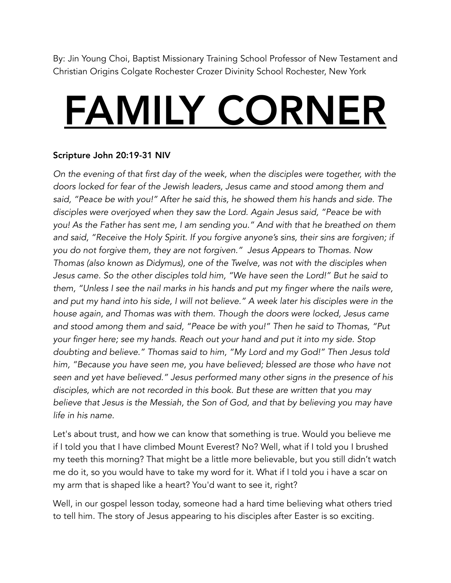By: Jin Young Choi, Baptist Missionary Training School Professor of New Testament and Christian Origins Colgate Rochester Crozer Divinity School Rochester, New York

# FAMILY CORNER

### Scripture John 20:19-31 NIV

*On the evening of that first day of the week, when the disciples were together, with the doors locked for fear of the Jewish leaders, Jesus came and stood among them and said, "Peace be with you!" After he said this, he showed them his hands and side. The disciples were overjoyed when they saw the Lord. Again Jesus said, "Peace be with you! As the Father has sent me, I am sending you." And with that he breathed on them and said, "Receive the Holy Spirit. If you forgive anyone's sins, their sins are forgiven; if you do not forgive them, they are not forgiven." Jesus Appears to Thomas. Now Thomas (also known as Didymus), one of the Twelve, was not with the disciples when Jesus came. So the other disciples told him, "We have seen the Lord!" But he said to them, "Unless I see the nail marks in his hands and put my finger where the nails were, and put my hand into his side, I will not believe." A week later his disciples were in the house again, and Thomas was with them. Though the doors were locked, Jesus came and stood among them and said, "Peace be with you!" Then he said to Thomas, "Put your finger here; see my hands. Reach out your hand and put it into my side. Stop doubting and believe." Thomas said to him, "My Lord and my God!" Then Jesus told him, "Because you have seen me, you have believed; blessed are those who have not seen and yet have believed." Jesus performed many other signs in the presence of his disciples, which are not recorded in this book. But these are written that you may believe that Jesus is the Messiah, the Son of God, and that by believing you may have life in his name.*

Let's about trust, and how we can know that something is true. Would you believe me if I told you that I have climbed Mount Everest? No? Well, what if I told you I brushed my teeth this morning? That might be a little more believable, but you still didn't watch me do it, so you would have to take my word for it. What if I told you i have a scar on my arm that is shaped like a heart? You'd want to see it, right?

Well, in our gospel lesson today, someone had a hard time believing what others tried to tell him. The story of Jesus appearing to his disciples after Easter is so exciting.